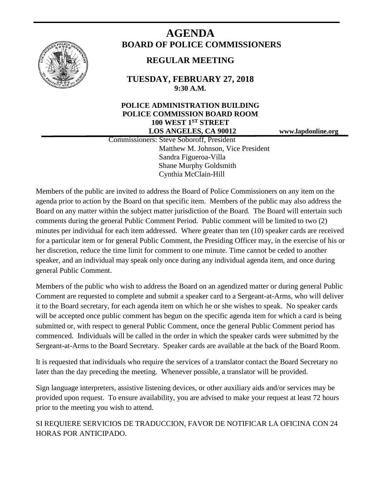

# **AGENDA BOARD OF POLICE COMMISSIONERS**

# **REGULAR MEETING**

**TUESDAY, FEBRUARY 27, 2018 9:30 A.M.**

## **POLICE ADMINISTRATION BUILDING POLICE COMMISSION BOARD ROOM 100 WEST 1ST STREET LOS ANGELES, CA 90012 www.lapdonline.org**

 Commissioners: Steve Soboroff, President Matthew M. Johnson, Vice President Sandra Figueroa-Villa Shane Murphy Goldsmith Cynthia McClain-Hill

Members of the public are invited to address the Board of Police Commissioners on any item on the agenda prior to action by the Board on that specific item. Members of the public may also address the Board on any matter within the subject matter jurisdiction of the Board. The Board will entertain such comments during the general Public Comment Period. Public comment will be limited to two (2) minutes per individual for each item addressed. Where greater than ten (10) speaker cards are received for a particular item or for general Public Comment, the Presiding Officer may, in the exercise of his or her discretion, reduce the time limit for comment to one minute. Time cannot be ceded to another speaker, and an individual may speak only once during any individual agenda item, and once during general Public Comment.

Members of the public who wish to address the Board on an agendized matter or during general Public Comment are requested to complete and submit a speaker card to a Sergeant-at-Arms, who will deliver it to the Board secretary, for each agenda item on which he or she wishes to speak. No speaker cards will be accepted once public comment has begun on the specific agenda item for which a card is being submitted or, with respect to general Public Comment, once the general Public Comment period has commenced. Individuals will be called in the order in which the speaker cards were submitted by the Sergeant-at-Arms to the Board Secretary. Speaker cards are available at the back of the Board Room.

It is requested that individuals who require the services of a translator contact the Board Secretary no later than the day preceding the meeting. Whenever possible, a translator will be provided.

Sign language interpreters, assistive listening devices, or other auxiliary aids and/or services may be provided upon request. To ensure availability, you are advised to make your request at least 72 hours prior to the meeting you wish to attend.

SI REQUIERE SERVICIOS DE TRADUCCION, FAVOR DE NOTIFICAR LA OFICINA CON 24 HORAS POR ANTICIPADO.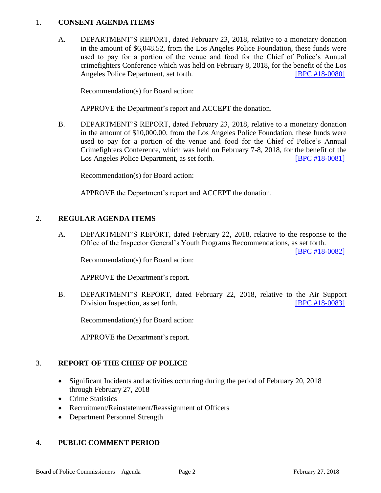#### 1. **CONSENT AGENDA ITEMS**

A. DEPARTMENT'S REPORT, dated February 23, 2018, relative to a monetary donation in the amount of \$6,048.52, from the Los Angeles Police Foundation, these funds were used to pay for a portion of the venue and food for the Chief of Police's Annual crimefighters Conference which was held on February 8, 2018, for the benefit of the Los Angeles Police Department, set forth. **IBPC #18-0080** 

Recommendation(s) for Board action:

APPROVE the Department's report and ACCEPT the donation.

B. DEPARTMENT'S REPORT, dated February 23, 2018, relative to a monetary donation in the amount of \$10,000.00, from the Los Angeles Police Foundation, these funds were used to pay for a portion of the venue and food for the Chief of Police's Annual Crimefighters Conference, which was held on February 7-8, 2018, for the benefit of the Los Angeles Police Department, as set forth. [\[BPC #18-0081\]](http://www.lapdpolicecom.lacity.org/022718/BPC_18-0081.pdf)

Recommendation(s) for Board action:

APPROVE the Department's report and ACCEPT the donation.

### 2. **REGULAR AGENDA ITEMS**

A. DEPARTMENT'S REPORT, dated February 22, 2018, relative to the response to the Office of the Inspector General's Youth Programs Recommendations, as set forth.

[\[BPC #18-0082\]](http://www.lapdpolicecom.lacity.org/022718/BPC_18-0082.pdf)

Recommendation(s) for Board action:

APPROVE the Department's report.

B. DEPARTMENT'S REPORT, dated February 22, 2018, relative to the Air Support Division Inspection, as set forth. **IDEN** [\[BPC #18-0083\]](http://www.lapdpolicecom.lacity.org/022718/BPC_18-0083.pdf)

Recommendation(s) for Board action:

APPROVE the Department's report.

### 3. **REPORT OF THE CHIEF OF POLICE**

- Significant Incidents and activities occurring during the period of February 20, 2018 through February 27, 2018
- Crime Statistics
- Recruitment/Reinstatement/Reassignment of Officers
- Department Personnel Strength

### 4. **PUBLIC COMMENT PERIOD**